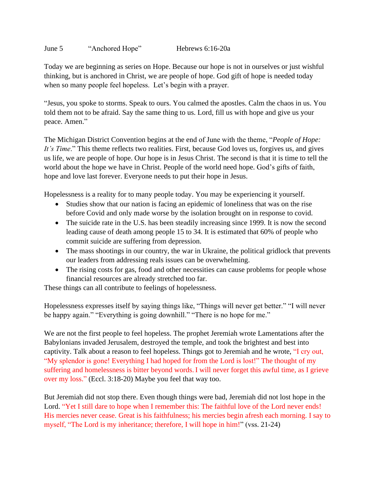June 5 "Anchored Hope" Hebrews 6:16-20a

Today we are beginning as series on Hope. Because our hope is not in ourselves or just wishful thinking, but is anchored in Christ, we are people of hope. God gift of hope is needed today when so many people feel hopeless. Let's begin with a prayer.

"Jesus, you spoke to storms. Speak to ours. You calmed the apostles. Calm the chaos in us. You told them not to be afraid. Say the same thing to us. Lord, fill us with hope and give us your peace. Amen."

The Michigan District Convention begins at the end of June with the theme, "*People of Hope: It's Time*." This theme reflects two realities. First, because God loves us, forgives us, and gives us life, we are people of hope. Our hope is in Jesus Christ. The second is that it is time to tell the world about the hope we have in Christ. People of the world need hope. God's gifts of faith, hope and love last forever. Everyone needs to put their hope in Jesus.

Hopelessness is a reality for to many people today. You may be experiencing it yourself.

- Studies show that our nation is facing an epidemic of loneliness that was on the rise before Covid and only made worse by the isolation brought on in response to covid.
- The suicide rate in the U.S. has been steadily increasing since 1999. It is now the second leading cause of death among people 15 to 34. It is estimated that 60% of people who commit suicide are suffering from depression.
- The mass shootings in our country, the war in Ukraine, the political gridlock that prevents our leaders from addressing reals issues can be overwhelming.
- The rising costs for gas, food and other necessities can cause problems for people whose financial resources are already stretched too far.

These things can all contribute to feelings of hopelessness.

Hopelessness expresses itself by saying things like, "Things will never get better." "I will never be happy again." "Everything is going downhill." "There is no hope for me."

We are not the first people to feel hopeless. The prophet Jeremiah wrote Lamentations after the Babylonians invaded Jerusalem, destroyed the temple, and took the brightest and best into captivity. Talk about a reason to feel hopeless. Things got to Jeremiah and he wrote, "I cry out, "My splendor is gone! Everything I had hoped for from the Lord is lost!" The thought of my suffering and homelessness is bitter beyond words. I will never forget this awful time, as I grieve over my loss." (Eccl. 3:18-20) Maybe you feel that way too.

But Jeremiah did not stop there. Even though things were bad, Jeremiah did not lost hope in the Lord. "Yet I still dare to hope when I remember this: The faithful love of the Lord never ends! His mercies never cease. Great is his faithfulness; his mercies begin afresh each morning. I say to myself, "The Lord is my inheritance; therefore, I will hope in him!" (vss. 21-24)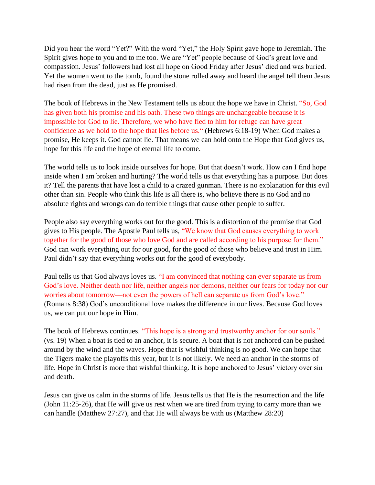Did you hear the word "Yet?" With the word "Yet," the Holy Spirit gave hope to Jeremiah. The Spirit gives hope to you and to me too. We are "Yet" people because of God's great love and compassion. Jesus' followers had lost all hope on Good Friday after Jesus' died and was buried. Yet the women went to the tomb, found the stone rolled away and heard the angel tell them Jesus had risen from the dead, just as He promised.

The book of Hebrews in the New Testament tells us about the hope we have in Christ. "So, God has given both his promise and his oath. These two things are unchangeable because it is impossible for God to lie. Therefore, we who have fled to him for refuge can have great confidence as we hold to the hope that lies before us." (Hebrews 6:18-19) When God makes a promise, He keeps it. God cannot lie. That means we can hold onto the Hope that God gives us, hope for this life and the hope of eternal life to come.

The world tells us to look inside ourselves for hope. But that doesn't work. How can I find hope inside when I am broken and hurting? The world tells us that everything has a purpose. But does it? Tell the parents that have lost a child to a crazed gunman. There is no explanation for this evil other than sin. People who think this life is all there is, who believe there is no God and no absolute rights and wrongs can do terrible things that cause other people to suffer.

People also say everything works out for the good. This is a distortion of the promise that God gives to His people. The Apostle Paul tells us, "We know that God causes everything to work together for the good of those who love God and are called according to his purpose for them." God can work everything out for our good, for the good of those who believe and trust in Him. Paul didn't say that everything works out for the good of everybody.

Paul tells us that God always loves us. "I am convinced that nothing can ever separate us from God's love. Neither death nor life, neither angels nor demons, neither our fears for today nor our worries about tomorrow—not even the powers of hell can separate us from God's love." (Romans 8:38) God's unconditional love makes the difference in our lives. Because God loves us, we can put our hope in Him.

The book of Hebrews continues. "This hope is a strong and trustworthy anchor for our souls." (vs. 19) When a boat is tied to an anchor, it is secure. A boat that is not anchored can be pushed around by the wind and the waves. Hope that is wishful thinking is no good. We can hope that the Tigers make the playoffs this year, but it is not likely. We need an anchor in the storms of life. Hope in Christ is more that wishful thinking. It is hope anchored to Jesus' victory over sin and death.

Jesus can give us calm in the storms of life. Jesus tells us that He is the resurrection and the life (John 11:25-26), that He will give us rest when we are tired from trying to carry more than we can handle (Matthew 27:27), and that He will always be with us (Matthew 28:20)